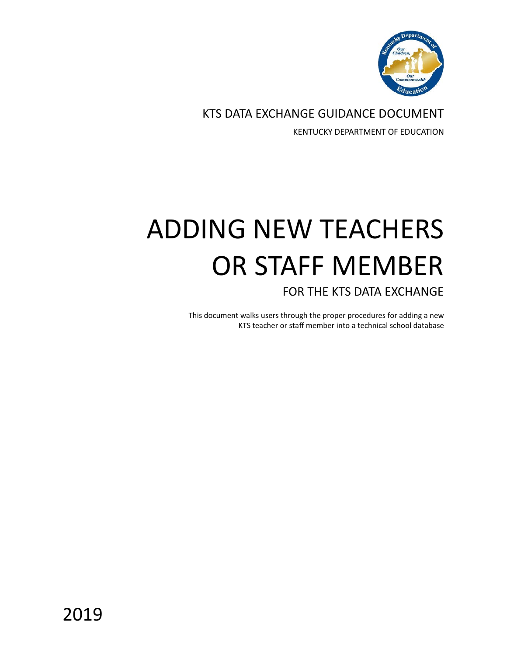

KTS DATA EXCHANGE GUIDANCE DOCUMENT

KENTUCKY DEPARTMENT OF EDUCATION

# ADDING NEW TEACHERS OR STAFF MEMBER

# FOR THE KTS DATA EXCHANGE

This document walks users through the proper procedures for adding a new KTS teacher or staff member into a technical school database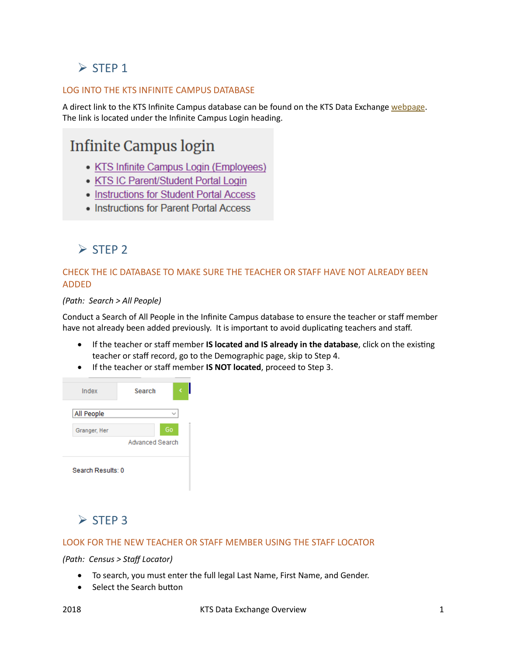# $\triangleright$  STFP 1

#### LOG INTO THE KTS INFINITE CAMPUS DATABASE

A direct link to the KTS Infinite Campus database can be found on the KTS Data Exchang[e webpage](https://education.ky.gov/districts/tech/sis/Pages/KSIS-KTS-Data-Exchange.aspx). The link is located under the Infinite Campus Login heading.

# **Infinite Campus login**

- KTS Infinite Campus Login (Employees)
- KTS IC Parent/Student Portal Login
- Instructions for Student Portal Access
- Instructions for Parent Portal Access

# $\triangleright$  STEP 2

#### CHECK THE IC DATABASE TO MAKE SURE THE TEACHER OR STAFF HAVE NOT ALREADY BEEN ADDED

#### *(Path: Search > All People)*

Conduct a Search of All People in the Infinite Campus database to ensure the teacher or staff member have not already been added previously. It is important to avoid duplicating teachers and staff.

- If the teacher or staff member **IS located and IS already in the database**, click on the existing teacher or staff record, go to the Demographic page, skip to Step 4.
- If the teacher or staff member **IS NOT located**, proceed to Step 3.

| Index             | Search                 |  |
|-------------------|------------------------|--|
| All People        |                        |  |
| Granger, Her      | Go                     |  |
|                   | <b>Advanced Search</b> |  |
| Search Results: 0 |                        |  |

### $\triangleright$  STFP 3

#### LOOK FOR THE NEW TEACHER OR STAFF MEMBER USING THE STAFF LOCATOR

#### *(Path: Census > Staff Locator)*

- To search, you must enter the full legal Last Name, First Name, and Gender.
- Select the Search button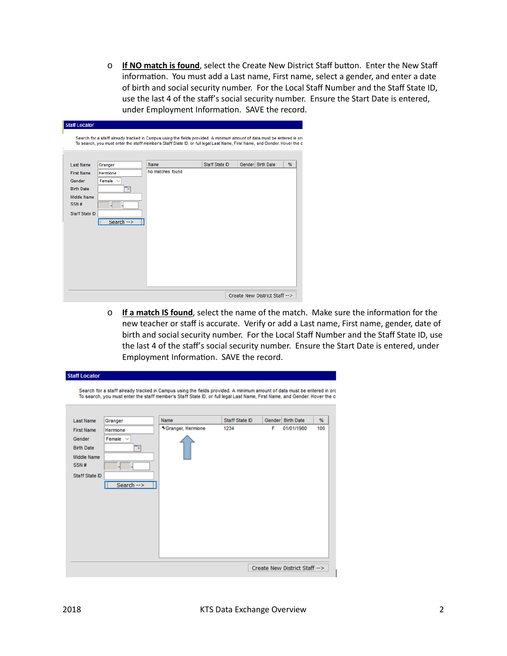o **If NO match is found**, select the Create New District Staff buton. Enter the New Staff information. You must add a Last name, First name, select a gender, and enter a date of birth and social security number. For the Local Staff Number and the Staff State ID, use the last 4 of the staff's social security number. Ensure the Start Date is entered, under Employment Information. SAVE the record.

|                       |               |                  |                |                   | % |
|-----------------------|---------------|------------------|----------------|-------------------|---|
| <b>Last Name</b>      | Granger       | Name             | Staff State ID | Gender Birth Date |   |
| <b>First Name</b>     | Hermione      | No matches found |                |                   |   |
| Gender                | Female $\sim$ |                  |                |                   |   |
| <b>Birth Date</b>     | Ta.           |                  |                |                   |   |
| <b>Middle Name</b>    |               |                  |                |                   |   |
| SSN#                  |               |                  |                |                   |   |
| <b>Staff State ID</b> |               |                  |                |                   |   |
|                       | Search -->    |                  |                |                   |   |
|                       |               |                  |                |                   |   |
|                       |               |                  |                |                   |   |
|                       |               |                  |                |                   |   |
|                       |               |                  |                |                   |   |
|                       |               |                  |                |                   |   |
|                       |               |                  |                |                   |   |
|                       |               |                  |                |                   |   |
|                       |               |                  |                |                   |   |

o **If a match IS found**, select the name of the match. Make sure the information for the new teacher or staff is accurate. Verify or add a Last name, First name, gender, date of birth and social security number. For the Local Staff Number and the Staff State ID, use the last 4 of the staff's social security number. Ensure the Start Date is entered, under Employment Information. SAVE the record.

| <b>Last Name</b>      | Granger       | Name                           | <b>Staff State ID</b> |   | Gender <sup>Birth</sup> Date | %   |
|-----------------------|---------------|--------------------------------|-----------------------|---|------------------------------|-----|
| <b>First Name</b>     | Hermione      | <sup>5</sup> Granger, Hermione | 1234                  | F | 01/01/1980                   | 100 |
| Gender                | Female $\sim$ |                                |                       |   |                              |     |
| <b>Birth Date</b>     | Ta.           |                                |                       |   |                              |     |
| Middle Name           |               |                                |                       |   |                              |     |
| SSN#                  |               |                                |                       |   |                              |     |
| <b>Staff State ID</b> |               |                                |                       |   |                              |     |
|                       | Search -->    |                                |                       |   |                              |     |
|                       |               |                                |                       |   |                              |     |
|                       |               |                                |                       |   |                              |     |
|                       |               |                                |                       |   |                              |     |
|                       |               |                                |                       |   |                              |     |
|                       |               |                                |                       |   |                              |     |
|                       |               |                                |                       |   |                              |     |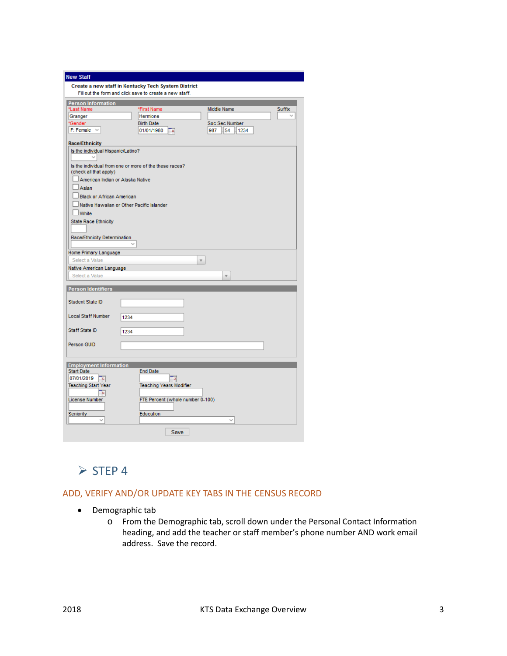| <b>New Staff</b>                   |                                                                                                                |
|------------------------------------|----------------------------------------------------------------------------------------------------------------|
|                                    |                                                                                                                |
|                                    | Create a new staff in Kentucky Tech System District<br>Fill out the form and click save to create a new staff. |
|                                    |                                                                                                                |
| <b>Person Information</b>          |                                                                                                                |
| *Last Name                         | *First Name<br><b>Middle Name</b><br><b>Suffix</b>                                                             |
| Granger<br>*Gender                 | Hermione<br><b>Birth Date</b><br>Soc Sec Number                                                                |
| $F:$ Female $\vee$                 | 987 - 54 - 1234<br>01/01/1980                                                                                  |
|                                    | Гa                                                                                                             |
| <b>Race/Ethnicity</b>              |                                                                                                                |
| Is the individual Hispanic/Latino? |                                                                                                                |
| (check all that apply)             | Is the individual from one or more of the these races?                                                         |
| American Indian or Alaska Native   |                                                                                                                |
| Asian                              |                                                                                                                |
| <b>Black or African American</b>   | Native Hawaiian or Other Pacific Islander                                                                      |
| White                              |                                                                                                                |
| <b>State Race Ethnicity</b>        |                                                                                                                |
|                                    |                                                                                                                |
| Race/Ethnicity Determination       |                                                                                                                |
|                                    |                                                                                                                |
| Home Primary Language              |                                                                                                                |
| Select a Value                     | $\mathbf{v}$                                                                                                   |
| Native American Language           |                                                                                                                |
| Select a Value                     | $\overline{\mathbf{v}}$                                                                                        |
|                                    |                                                                                                                |
| <b>Person Identifiers</b>          |                                                                                                                |
| Student State ID                   |                                                                                                                |
|                                    |                                                                                                                |
| <b>Local Staff Number</b>          | 1234                                                                                                           |
|                                    |                                                                                                                |
| <b>Staff State ID</b>              | 1234                                                                                                           |
| Person GUID                        |                                                                                                                |
|                                    |                                                                                                                |
|                                    |                                                                                                                |
| <b>Employment Information</b>      |                                                                                                                |
| <b>Start Date</b>                  | <b>End Date</b>                                                                                                |
| 07/01/2019<br>$\sqrt{2}$           | −≖                                                                                                             |
| <b>Teaching Start Year</b>         | Teaching Years Modifier                                                                                        |
| To.                                |                                                                                                                |
| License Number                     | FTE Percent (whole number 0-100)                                                                               |
|                                    |                                                                                                                |
| Seniority                          | <b>Education</b>                                                                                               |
|                                    |                                                                                                                |
|                                    | Save                                                                                                           |

# $\triangleright$  STEP 4

#### ADD, VERIFY AND/OR UPDATE KEY TABS IN THE CENSUS RECORD

- Demographic tab
	- o From the Demographic tab, scroll down under the Personal Contact Information heading, and add the teacher or staff member's phone number AND work email address. Save the record.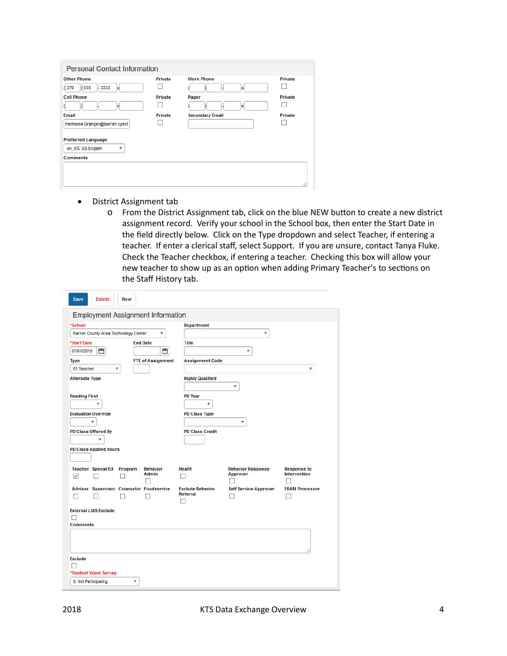| <b>Other Phone</b>            | Private        | <b>Work Phone</b>      | Private        |
|-------------------------------|----------------|------------------------|----------------|
| 3333<br>555<br>270<br>x       |                |                        |                |
| <b>Cell Phone</b>             | Private        | Pager                  | <b>Private</b> |
|                               |                |                        |                |
| <b>Email</b>                  | <b>Private</b> | <b>Secondary Email</b> | <b>Private</b> |
| Hermione.Granger@barren.kysch |                |                        |                |
| <b>Preferred Language</b>     |                |                        |                |
| $\overline{\phantom{a}}$      |                |                        |                |
| en_US: US English             |                |                        |                |
| <b>Comments</b>               |                |                        |                |

- District Assignment tab
	- o From the District Assignment tab, click on the blue NEW buton to create a new district assignment record. Verify your school in the School box, then enter the Start Date in the field directly below. Click on the Type dropdown and select Teacher, if entering a teacher. If enter a clerical staff, select Support. If you are unsure, contact Tanya Fluke. Check the Teacher checkbox, if entering a teacher. Checking this box will allow your new teacher to show up as an option when adding Primary Teacher's to sections on the Staff History tab.

| *School<br><b>Department</b><br>Barren County Area Technology Center<br>۰<br><b>End Date</b><br><b>Title</b><br>ö<br>ñ<br><b>FTE of Assignment</b><br><b>Assignment Code</b><br>۰<br><b>Highly Qualified</b><br>۰<br><b>PD</b> Year<br>۰<br>۰<br><b>PD Class Type</b><br>۰<br>۰<br><b>PD Class Credit</b><br>۰<br><b>Behavior</b><br><b>Health</b><br>Admin<br>Approver | ۰<br>۰<br>$\overline{\mathbf{v}}$                              |
|-------------------------------------------------------------------------------------------------------------------------------------------------------------------------------------------------------------------------------------------------------------------------------------------------------------------------------------------------------------------------|----------------------------------------------------------------|
| *Start Date<br>01:Teacher<br>▽                                                                                                                                                                                                                                                                                                                                          |                                                                |
| 07/01/2019                                                                                                                                                                                                                                                                                                                                                              |                                                                |
| <b>Type</b>                                                                                                                                                                                                                                                                                                                                                             |                                                                |
| <b>Alternate Type</b><br><b>Reading First</b><br>Teacher Special Ed Program                                                                                                                                                                                                                                                                                             |                                                                |
|                                                                                                                                                                                                                                                                                                                                                                         |                                                                |
|                                                                                                                                                                                                                                                                                                                                                                         |                                                                |
|                                                                                                                                                                                                                                                                                                                                                                         |                                                                |
| <b>Evaluation Override</b>                                                                                                                                                                                                                                                                                                                                              |                                                                |
|                                                                                                                                                                                                                                                                                                                                                                         |                                                                |
|                                                                                                                                                                                                                                                                                                                                                                         |                                                                |
| <b>PD Class Offered By</b><br><b>PD Class Applied Hours</b>                                                                                                                                                                                                                                                                                                             |                                                                |
|                                                                                                                                                                                                                                                                                                                                                                         |                                                                |
|                                                                                                                                                                                                                                                                                                                                                                         |                                                                |
|                                                                                                                                                                                                                                                                                                                                                                         |                                                                |
|                                                                                                                                                                                                                                                                                                                                                                         |                                                                |
|                                                                                                                                                                                                                                                                                                                                                                         | <b>Behavior Response</b><br><b>Response to</b><br>Intervention |
|                                                                                                                                                                                                                                                                                                                                                                         |                                                                |
| Advisor Supervisor Counselor Foodservice<br><b>Exclude Behavior</b>                                                                                                                                                                                                                                                                                                     | <b>Self Service Approver</b><br><b>FRAM Processor</b>          |
| Referral<br>П                                                                                                                                                                                                                                                                                                                                                           |                                                                |
| <b>External LMS Exclude</b>                                                                                                                                                                                                                                                                                                                                             |                                                                |
| п                                                                                                                                                                                                                                                                                                                                                                       |                                                                |
| <b>Comments</b>                                                                                                                                                                                                                                                                                                                                                         |                                                                |
|                                                                                                                                                                                                                                                                                                                                                                         |                                                                |
|                                                                                                                                                                                                                                                                                                                                                                         | .sl                                                            |
| Exclude                                                                                                                                                                                                                                                                                                                                                                 |                                                                |
|                                                                                                                                                                                                                                                                                                                                                                         |                                                                |
| *Student Voice Survey                                                                                                                                                                                                                                                                                                                                                   |                                                                |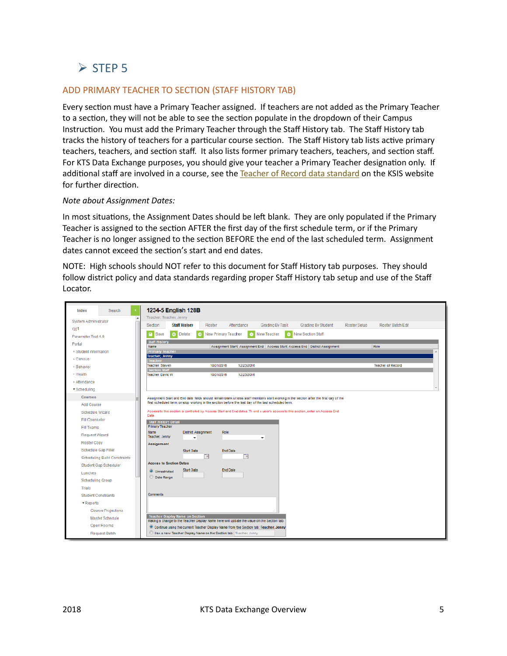# $\triangleright$  STFP 5

#### ADD PRIMARY TEACHER TO SECTION (STAFF HISTORY TAB)

Every section must have a Primary Teacher assigned. If teachers are not added as the Primary Teacher to a section, they will not be able to see the section populate in the dropdown of their Campus Instruction. You must add the Primary Teacher through the Staff History tab. The Staff History tab tracks the history of teachers for a particular course section. The Staff History tab lists active primary teachers, teachers, and section staff. It also lists former primary teachers, teachers, and section staff. For KTS Data Exchange purposes, you should give your teacher a Primary Teacher designation only. If additional staff are involved in a course, see the [Teacher of Record data standard](http://education.ky.gov/districts/tech/sis/Documents/Data_Standard-Teacher_of_Record.pdf) on the KSIS website for further direction.

#### *Note about Assignment Dates:*

In most situations, the Assignment Dates should be left blank. They are only populated if the Primary Teacher is assigned to the section AFTER the first day of the first schedule term, or if the Primary Teacher is no longer assigned to the section BEFORE the end of the last scheduled term. Assignment dates cannot exceed the section's start and end dates.

NOTE: High schools should NOT refer to this document for Staff History tab purposes. They should follow district policy and data standards regarding proper Staff History tab setup and use of the Staff Locator.

| Search<br>Index                     | 1234-5 English 128B                                                                                                                   |
|-------------------------------------|---------------------------------------------------------------------------------------------------------------------------------------|
| System Administrator                | Teacher: Teacher, Jenny                                                                                                               |
| cjo1                                | Grading By Student<br>Roster Batch Edit<br>Section<br><b>Staff History</b><br>Roster<br>Attendance<br>Grading By Task<br>Roster Setup |
| Parameter Test 4.0                  | e.<br>$\infty$ Delete<br>New Primary Teacher<br>New Teacher<br><b>Q</b> New Section Staff<br>Save                                     |
| Portal                              | <b>Staff History</b>                                                                                                                  |
| ▶ Student Information               | Assignment Start Assignment End   Access Start Access End   District Assignment<br>Role<br>Name<br><b>Primary Teacher</b>             |
| $E$ Census                          | <b>Teacher, Jenny</b>                                                                                                                 |
| - Behavior                          | Teacher:<br><b>Teacher</b> Steven<br>10/01/2016<br>12/23/2016<br><b>Teacher of Record</b>                                             |
| ▶ Health                            | <b>Section Staff</b><br>Teacher, David W<br>10/01/2016<br>12/23/2016                                                                  |
| ▶ Attendance                        |                                                                                                                                       |
| ▼ Scheduling                        |                                                                                                                                       |
| Courses                             | Assignment Start and End date fields should remain blank unless staff members start working in the section after the first day of the |
| Add Course                          | frst scheduled term, or stop working in the section before the last day of the last scheduled term.                                   |
| Schedule Wizard                     | Access to this section is controlled by Access Start and End dates. To end a user's access to this section, enter an Access End       |
| Fill Counselor                      | Date.<br><b>Staff History Detail</b>                                                                                                  |
| Fill Teams                          | Prinary Teacher                                                                                                                       |
| Request Wizard                      | Role<br>Name<br><b>District Assignment</b><br>Teacher, Jenny<br>٠                                                                     |
| <b>Roster Copy</b>                  | Assignment                                                                                                                            |
| Schedule Gap Filler                 | <b>Start Date</b><br><b>End Date</b>                                                                                                  |
| <b>Scheduling Build Constraints</b> | $\Box$<br>$\Box$                                                                                                                      |
| Student Gap Scheduler               | <b>Access to Section Dates</b>                                                                                                        |
| Lunches                             | <b>End Date</b><br><b>Start Date</b><br><b>O</b> Urrestricted                                                                         |
| <b>Scheduling Group</b>             | <b>Date Range</b>                                                                                                                     |
| <b>Trials</b>                       |                                                                                                                                       |
| <b>Student Constraints</b>          | Comments                                                                                                                              |
| ▼ Reports                           |                                                                                                                                       |
| Course Projections                  |                                                                                                                                       |
| Master Schedule                     | <b>Teacher Display Name on Section</b><br>Making a change to the Teacher Display Name here will update the value on the Section tab.  |
| <b>Open Rooms</b>                   | <sup>©</sup> Continue using the current Teacher Display Name from the Section tab: Teacher, Jenny                                     |
| Request Batch                       | Use a new Teacher Display Name on the Section tab: Teacher, Jenny                                                                     |